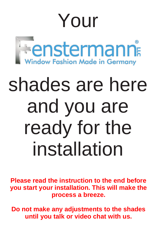# Your



# shades are here and you are ready for the installation

**Please read the instruction to the end before you start your installation. This will make the process a breeze.**

**Do not make any adjustments to the shades until you talk or video chat with us.**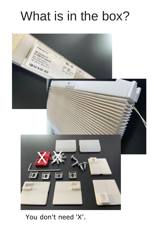## What is in the box?



### You don't need 'X'.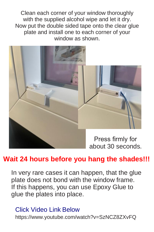Clean each corner of your window thoroughly with the supplied alcohol wipe and let it dry. Now put the double sided tape onto the clear glue plate and install one to each corner of your window as shown.



#### **Wait 24 hours before you hang the shades!!!**

In very rare cases it can happen, that the glue plate does not bond with the window frame. If this happens, you can use Epoxy Glue to glue the plates into place.

#### Click Video Link Below

[https://www.youtube.com/watch?v=SzNCZ8ZXvFQ](http://www.youtube.com/watch?v=SzNCZ8ZXvFQ)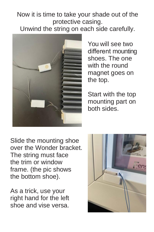Now it is time to take your shade out of the protective casing.

Unwind the string on each side carefully.



You will see two different mounting shoes. The one with the round magnet goes on the top.

Start with the top mounting part on both sides.

Slide the mounting shoe over the Wonder bracket. The string must face the trim or window frame. (the pic shows the bottom shoe).

As a trick, use your right hand for the left shoe and vise versa.

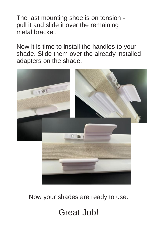The last mounting shoe is on tension pull it and slide it over the remaining metal bracket.

Now it is time to install the handles to your shade. Slide them over the already installed adapters on the shade.



Now your shades are ready to use.

### Great Job!